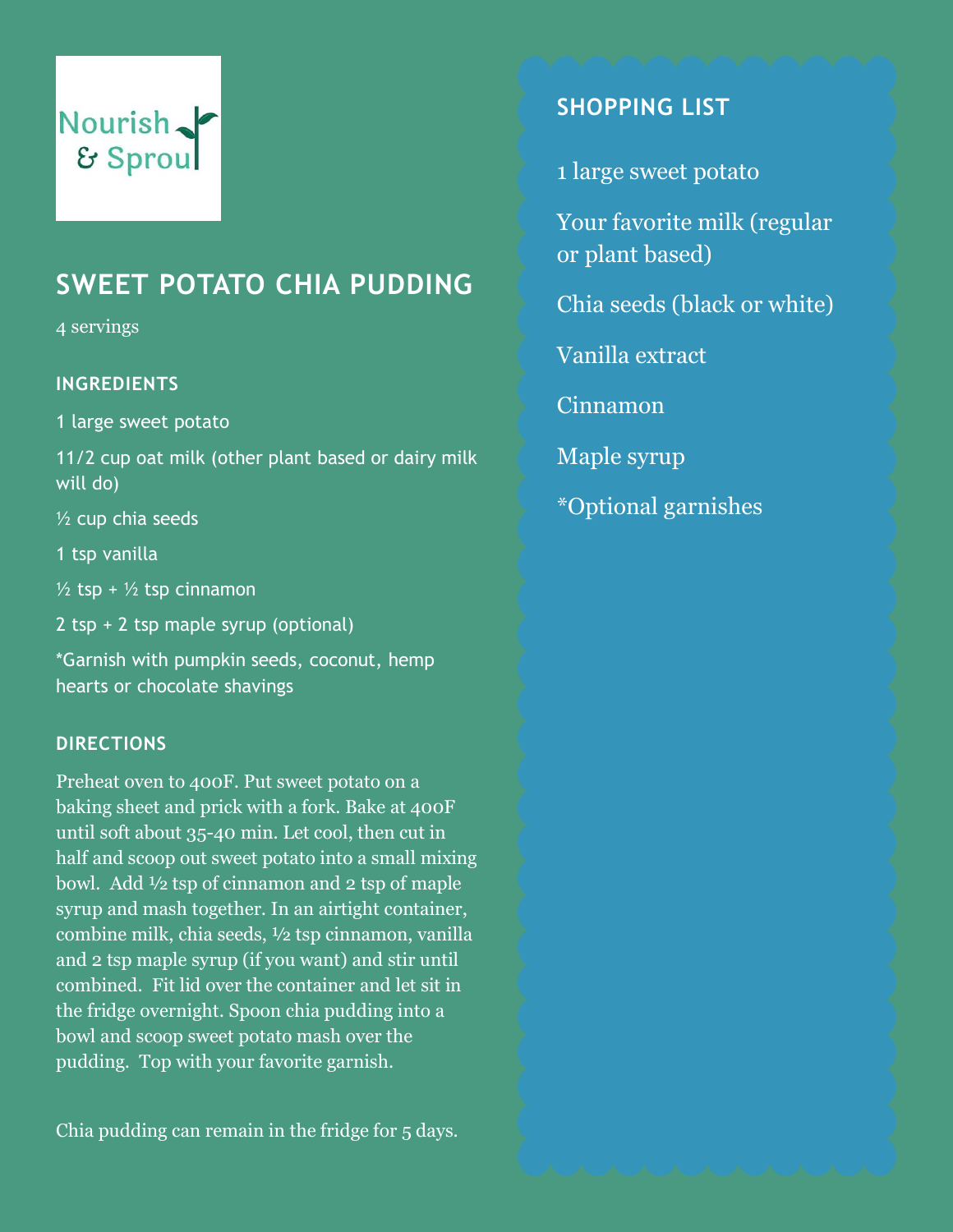## **SWEET POTATO CHIA PUDDING**

4 servings

#### **INGREDIENTS**

1 large sweet potato

11/2 cup oat milk (other plant based or dairy milk will do)

½ cup chia seeds

1 tsp vanilla

 $\frac{1}{2}$  tsp +  $\frac{1}{2}$  tsp cinnamon

2 tsp + 2 tsp maple syrup (optional)

\*Garnish with pumpkin seeds, coconut, hemp hearts or chocolate shavings

#### **DIRECTIONS**

Preheat oven to 400F. Put sweet potato on a baking sheet and prick with a fork. Bake at 400F until soft about 35-40 min. Let cool, then cut in half and scoop out sweet potato into a small mixing bowl. Add ½ tsp of cinnamon and 2 tsp of maple syrup and mash together. In an airtight container, combine milk, chia seeds, ½ tsp cinnamon, vanilla and 2 tsp maple syrup (if you want) and stir until combined. Fit lid over the container and let sit in the fridge overnight. Spoon chia pudding into a bowl and scoop sweet potato mash over the pudding. Top with your favorite garnish.

Chia pudding can remain in the fridge for 5 days.

### **SHOPPING LIST**

1 large sweet potato

Your favorite milk (regular or plant based)

Chia seeds (black or white)

Vanilla extract

Cinnamon

Maple syrup

\*Optional garnishes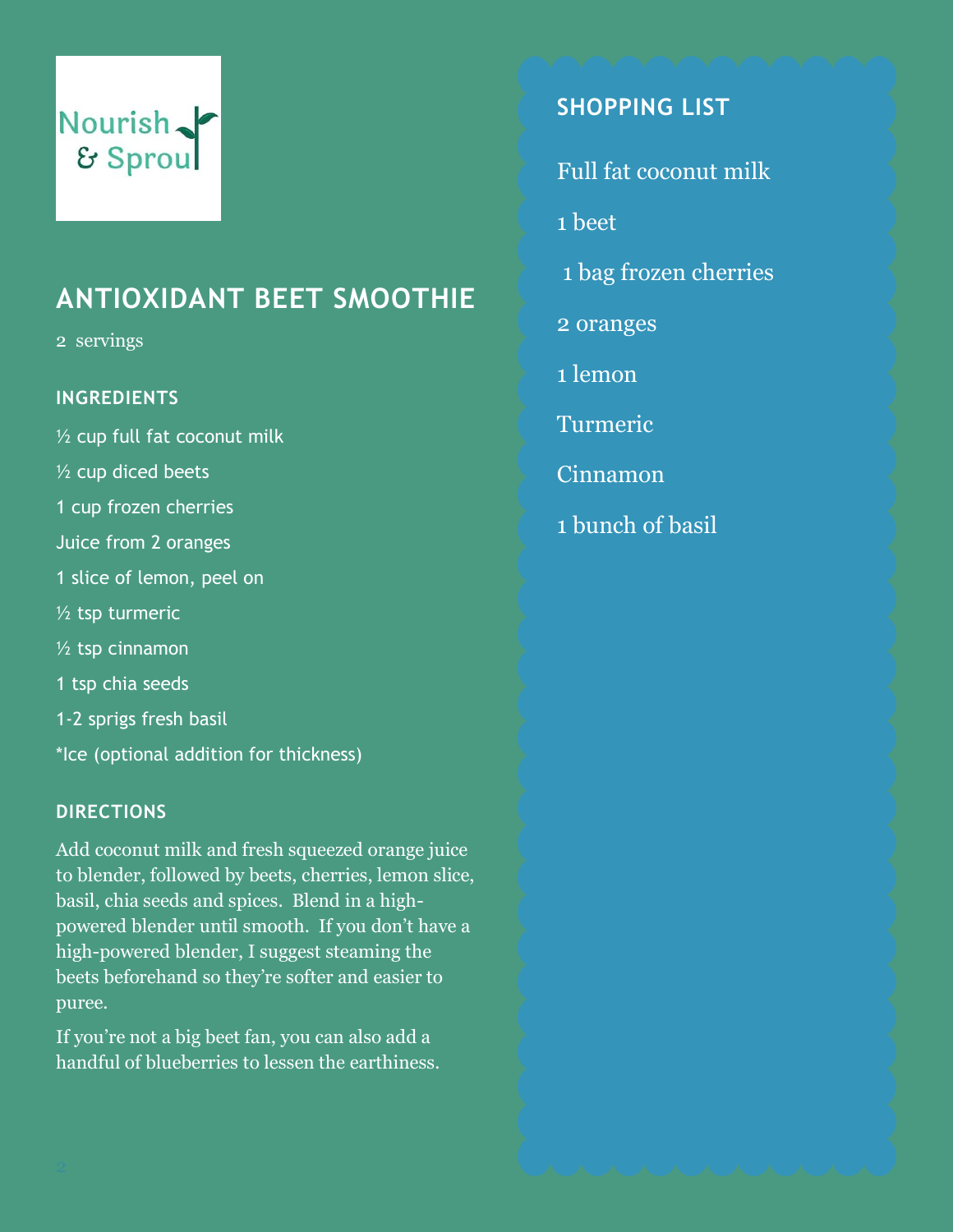## **ANTIOXIDANT BEET SMOOTHIE**

2 servings

#### **INGREDIENTS**

½ cup full fat coconut milk ½ cup diced beets 1 cup frozen cherries Juice from 2 oranges 1 slice of lemon, peel on  $1/2$  tsp turmeric ½ tsp cinnamon 1 tsp chia seeds 1-2 sprigs fresh basil \*Ice (optional addition for thickness)

#### **DIRECTIONS**

Add coconut milk and fresh squeezed orange juice to blender, followed by beets, cherries, lemon slice, basil, chia seeds and spices. Blend in a highpowered blender until smooth. If you don't have a high-powered blender, I suggest steaming the beets beforehand so they're softer and easier to puree.

If you're not a big beet fan, you can also add a handful of blueberries to lessen the earthiness.

### **SHOPPING LIST**

Full fat coconut milk

1 beet

- 1 bag frozen cherries
- 2 oranges
- 1 lemon
- Turmeric
- Cinnamon
- 1 bunch of basil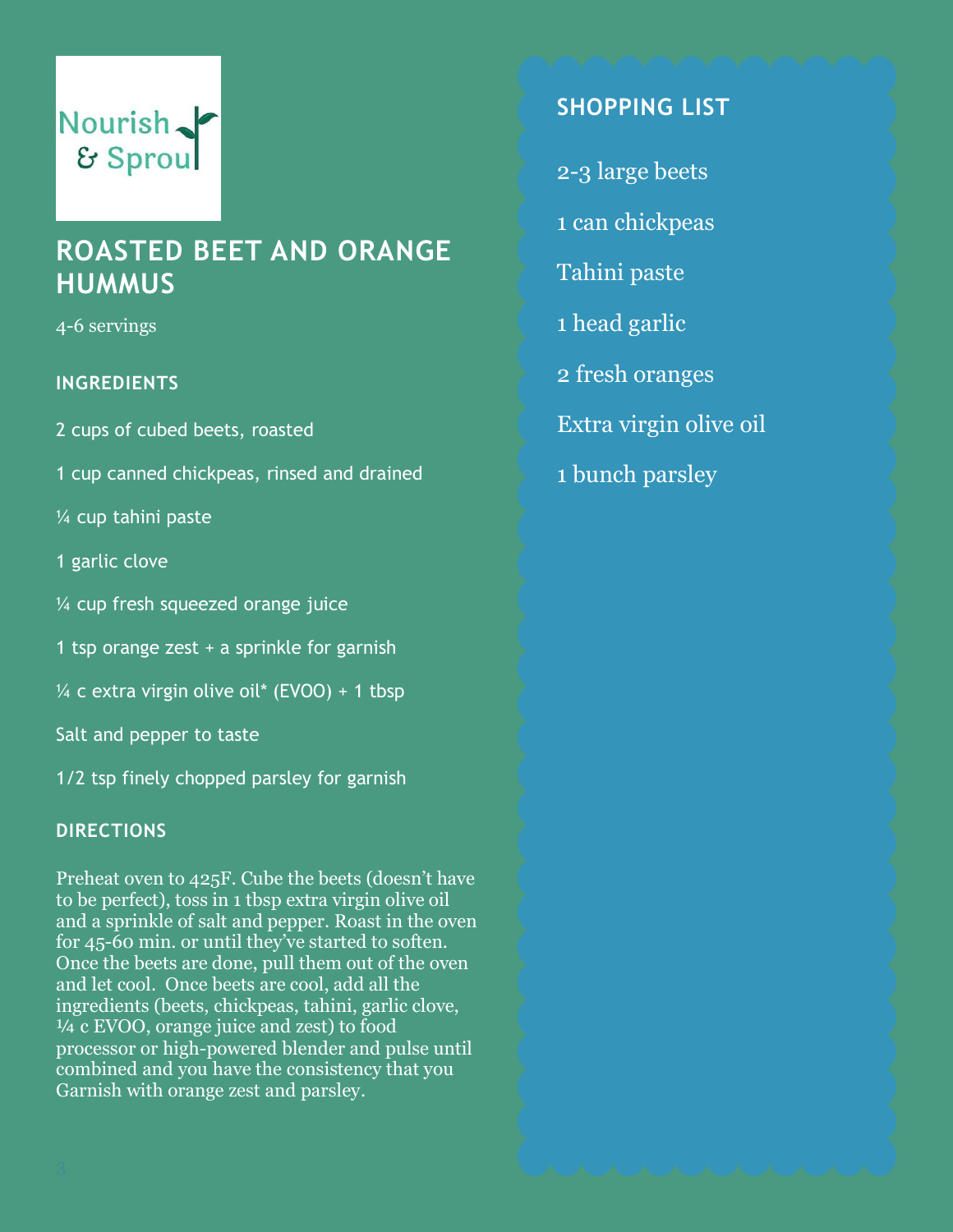## **ROASTED BEET AND ORANGE HUMMUS**

4-6 servings

#### **INGREDIENTS**

2 cups of cubed beets, roasted

1 cup canned chickpeas, rinsed and drained

¼ cup tahini paste

1 garlic clove

¼ cup fresh squeezed orange juice

1 tsp orange zest + a sprinkle for garnish

 $\frac{1}{4}$  c extra virgin olive oil\* (EVOO) + 1 tbsp

Salt and pepper to taste

1/2 tsp finely chopped parsley for garnish

#### **DIRECTIONS**

Preheat oven to 425F. Cube the beets (doesn't have to be perfect), toss in 1 tbsp extra virgin olive oil and a sprinkle of salt and pepper. Roast in the oven for 45-60 min. or until they've started to soften. Once the beets are done, pull them out of the oven and let cool. Once beets are cool, add all the ingredients (beets, chickpeas, tahini, garlic clove, ¼ c EVOO, orange juice and zest) to food processor or high-powered blender and pulse until combined and you have the consistency that you Garnish with orange zest and parsley.

### **SHOPPING LIST**

- 2-3 large beets
- 1 can chickpeas
- Tahini paste
- 1 head garlic
- 2 fresh oranges
- Extra virgin olive oil
- 1 bunch parsley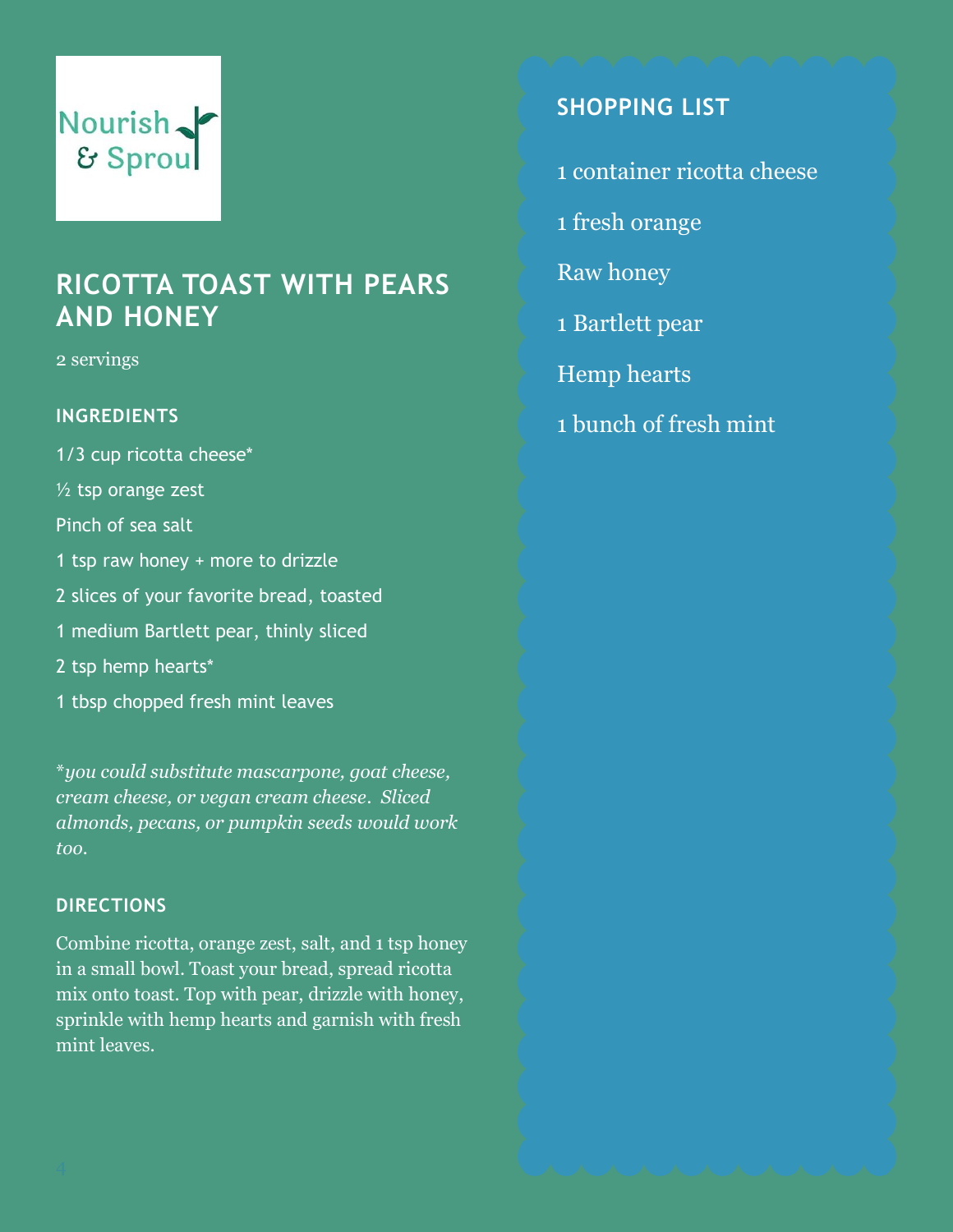## **RICOTTA TOAST WITH PEARS AND HONEY**

2 servings

#### **INGREDIENTS**

1/3 cup ricotta cheese\*  $1/2$  tsp orange zest Pinch of sea salt 1 tsp raw honey + more to drizzle 2 slices of your favorite bread, toasted 1 medium Bartlett pear, thinly sliced 2 tsp hemp hearts\* 1 tbsp chopped fresh mint leaves

\**you could substitute mascarpone, goat cheese, cream cheese, or vegan cream cheese. Sliced almonds, pecans, or pumpkin seeds would work too.*

#### **DIRECTIONS**

Combine ricotta, orange zest, salt, and 1 tsp honey in a small bowl. Toast your bread, spread ricotta mix onto toast. Top with pear, drizzle with honey, sprinkle with hemp hearts and garnish with fresh mint leaves.

### **SHOPPING LIST**

- 1 container ricotta cheese
- 1 fresh orange
- Raw honey
- 1 Bartlett pear
- Hemp hearts
- 1 bunch of fresh mint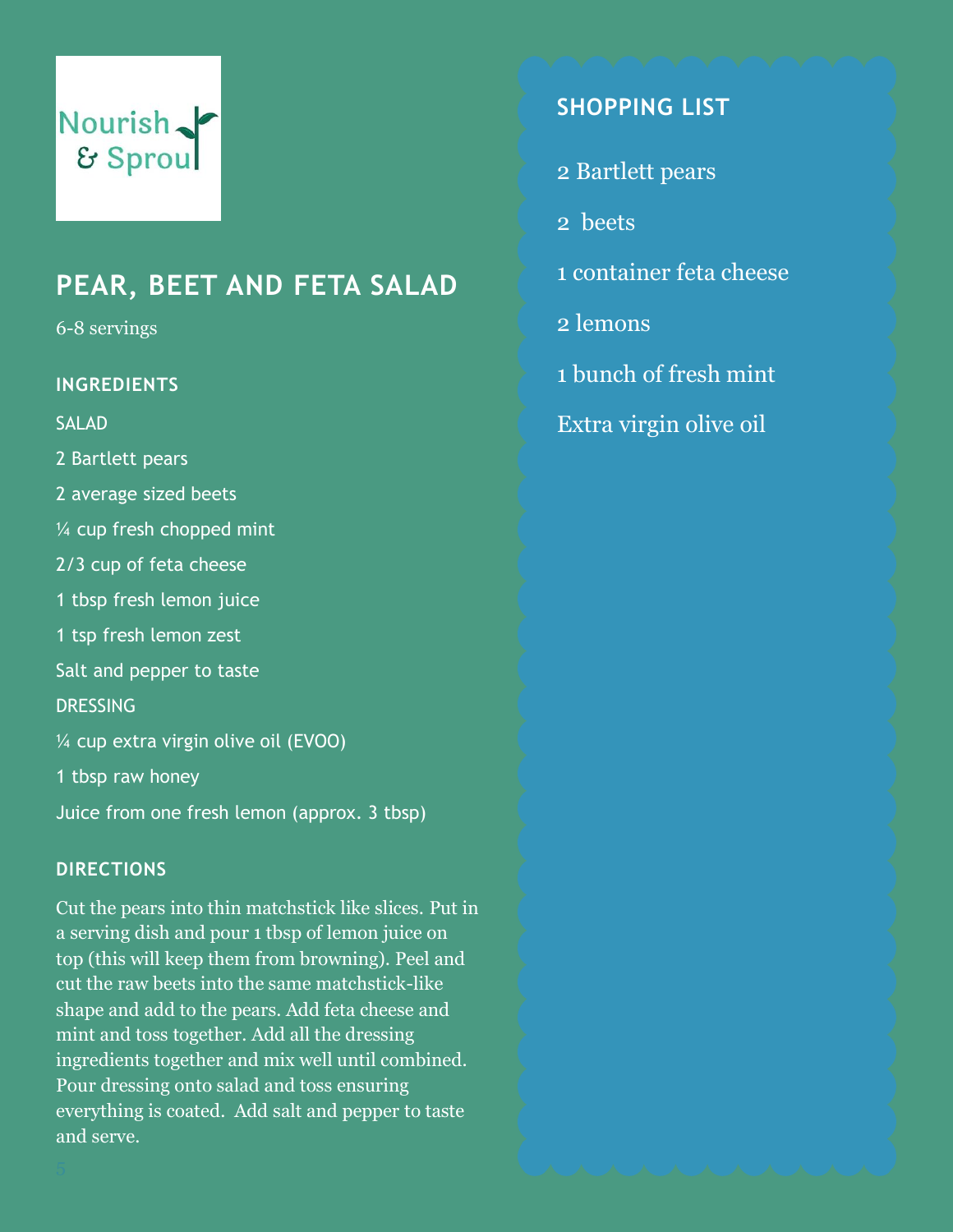## **PEAR, BEET AND FETA SALAD**

6-8 servings

#### **INGREDIENTS**

SALAD

2 Bartlett pears

- 2 average sized beets
- ¼ cup fresh chopped mint
- 2/3 cup of feta cheese
- 1 tbsp fresh lemon juice
- 1 tsp fresh lemon zest
- Salt and pepper to taste

**DRESSING** 

- ¼ cup extra virgin olive oil (EVOO)
- 1 tbsp raw honey
- Juice from one fresh lemon (approx. 3 tbsp)

#### **DIRECTIONS**

Cut the pears into thin matchstick like slices. Put in a serving dish and pour 1 tbsp of lemon juice on top (this will keep them from browning). Peel and cut the raw beets into the same matchstick-like shape and add to the pears. Add feta cheese and mint and toss together. Add all the dressing ingredients together and mix well until combined. Pour dressing onto salad and toss ensuring everything is coated. Add salt and pepper to taste and serve.

### **SHOPPING LIST**

- 2 Bartlett pears
- 2 beets
- 1 container feta cheese
- 2 lemons
- 1 bunch of fresh mint
- Extra virgin olive oil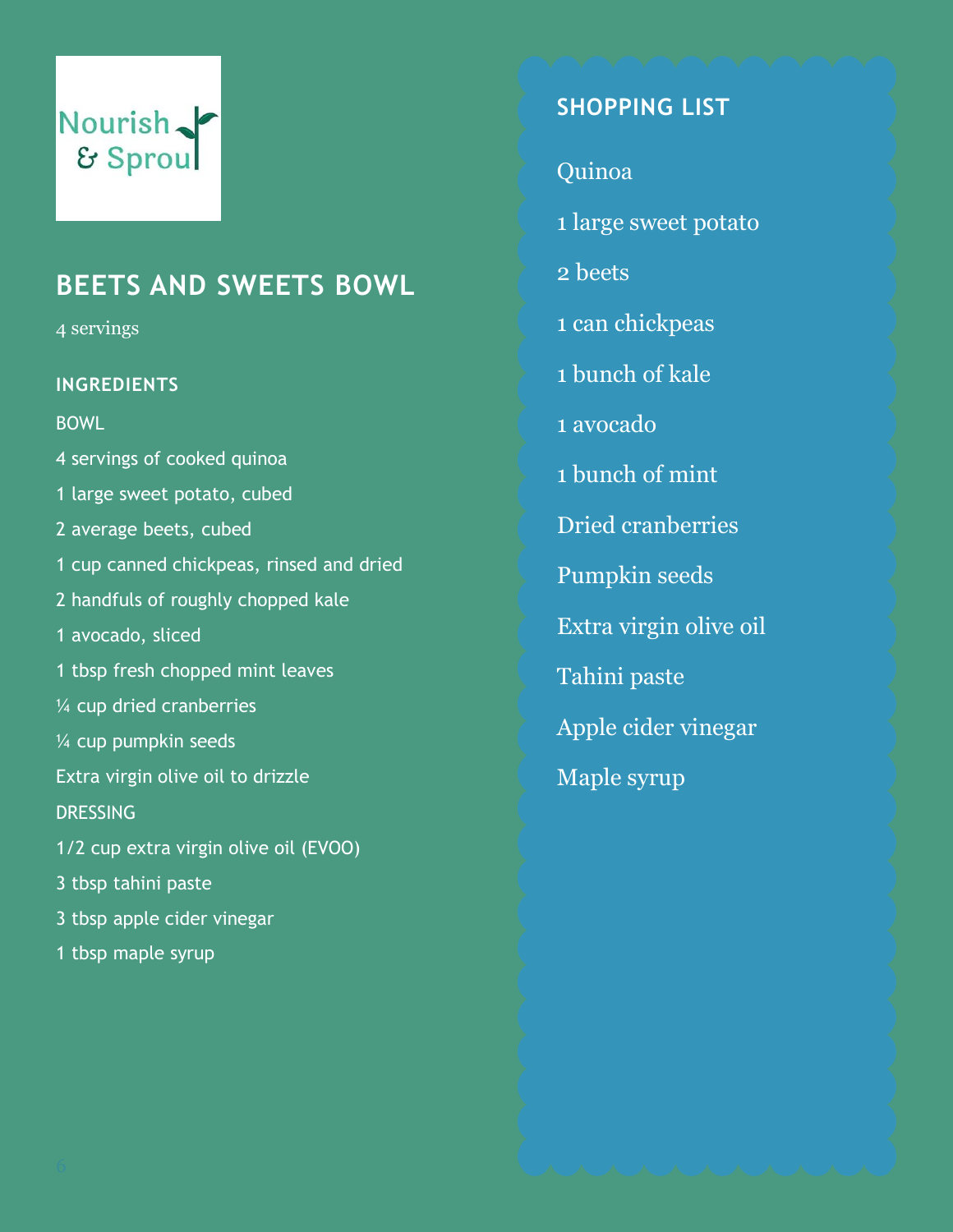## **BEETS AND SWEETS BOWL**

4 servings

#### **INGREDIENTS**

**BOWL** 

4 servings of cooked quinoa 1 large sweet potato, cubed 2 average beets, cubed 1 cup canned chickpeas, rinsed and dried 2 handfuls of roughly chopped kale 1 avocado, sliced 1 tbsp fresh chopped mint leaves ¼ cup dried cranberries ¼ cup pumpkin seeds Extra virgin olive oil to drizzle DRESSING 1/2 cup extra virgin olive oil (EVOO) 3 tbsp tahini paste 3 tbsp apple cider vinegar 1 tbsp maple syrup

## **SHOPPING LIST**

Quinoa

1 large sweet potato

2 beets

1 can chickpeas

1 bunch of kale

1 avocado

1 bunch of mint

Dried cranberries

Pumpkin seeds

Extra virgin olive oil

Tahini paste

Apple cider vinegar

Maple syrup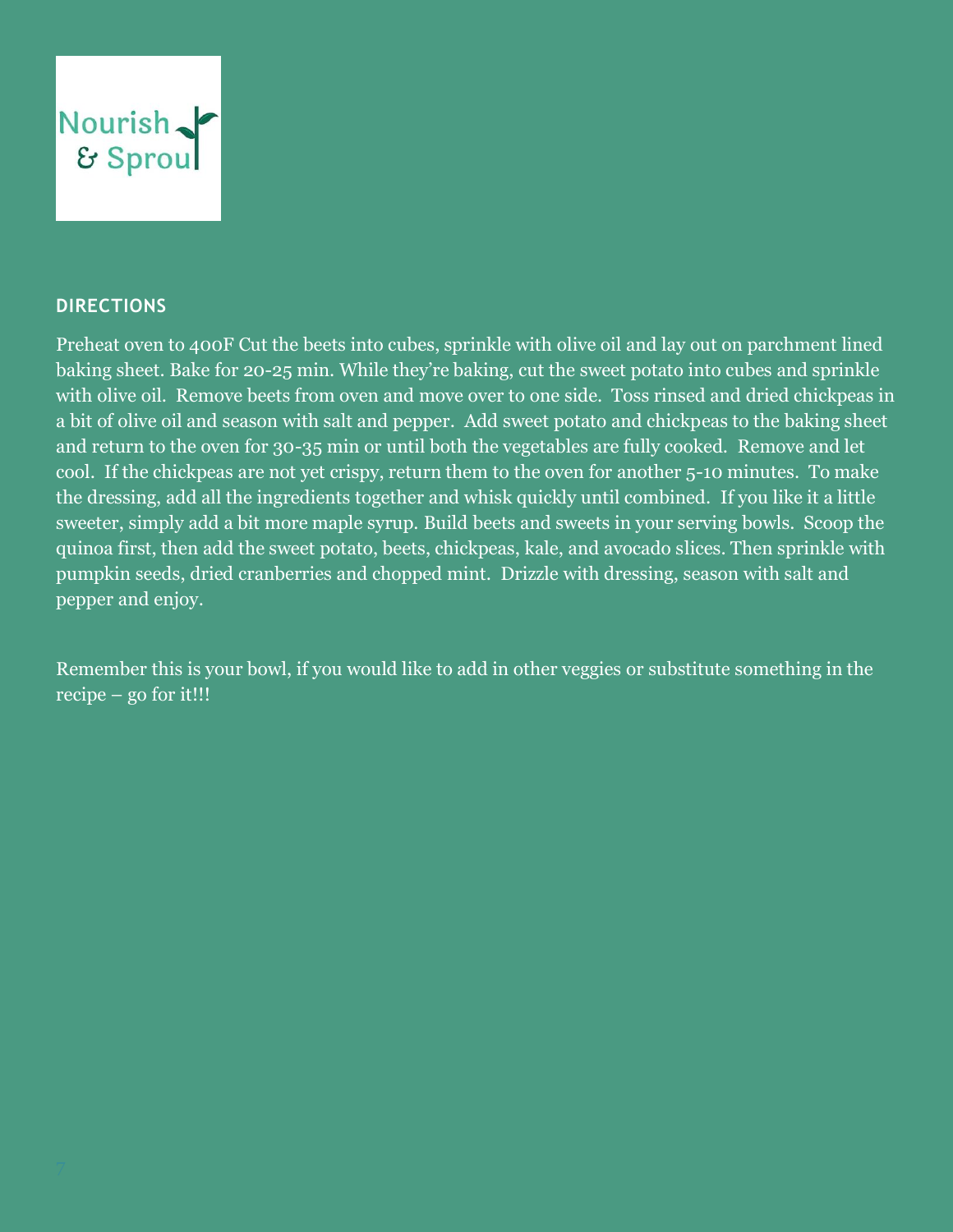

#### **DIRECTIONS**

Preheat oven to 400F Cut the beets into cubes, sprinkle with olive oil and lay out on parchment lined baking sheet. Bake for 20-25 min. While they're baking, cut the sweet potato into cubes and sprinkle with olive oil. Remove beets from oven and move over to one side. Toss rinsed and dried chickpeas in a bit of olive oil and season with salt and pepper. Add sweet potato and chickpeas to the baking sheet and return to the oven for 30-35 min or until both the vegetables are fully cooked. Remove and let cool. If the chickpeas are not yet crispy, return them to the oven for another 5-10 minutes. To make the dressing, add all the ingredients together and whisk quickly until combined. If you like it a little sweeter, simply add a bit more maple syrup. Build beets and sweets in your serving bowls. Scoop the quinoa first, then add the sweet potato, beets, chickpeas, kale, and avocado slices. Then sprinkle with pumpkin seeds, dried cranberries and chopped mint. Drizzle with dressing, season with salt and pepper and enjoy.

Remember this is your bowl, if you would like to add in other veggies or substitute something in the recipe – go for it!!!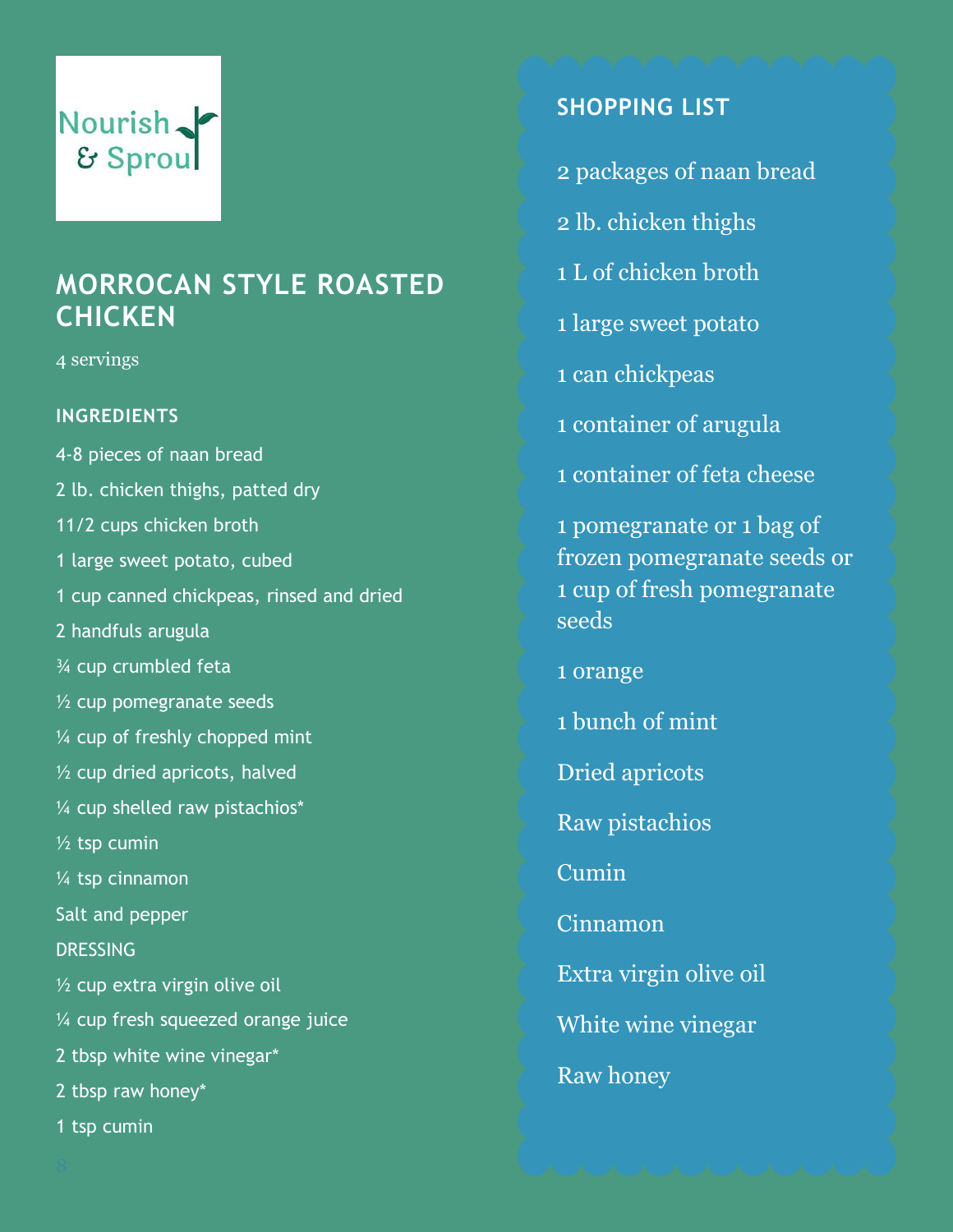## **MORROCAN STYLE ROASTED CHICKEN**

4 servings

#### **INGREDIENTS**

4-8 pieces of naan bread 2 lb. chicken thighs, patted dry 11/2 cups chicken broth 1 large sweet potato, cubed 1 cup canned chickpeas, rinsed and dried 2 handfuls arugula ¾ cup crumbled feta  $\frac{1}{2}$  cup pomegranate seeds ¼ cup of freshly chopped mint ½ cup dried apricots, halved  $\frac{1}{4}$  cup shelled raw pistachios\*  $\frac{1}{2}$  tsp cumin ¼ tsp cinnamon Salt and pepper **DRESSING**  $\frac{1}{2}$  cup extra virgin olive oil ¼ cup fresh squeezed orange juice 2 tbsp white wine vinegar\* 2 tbsp raw honey\* 1 tsp cumin

## **SHOPPING LIST**

- 2 packages of naan bread
- 2 lb. chicken thighs
- 1 L of chicken broth
- 1 large sweet potato
- 1 can chickpeas
- 1 container of arugula
- 1 container of feta cheese

1 pomegranate or 1 bag of frozen pomegranate seeds or 1 cup of fresh pomegranate seeds

1 orange

- 1 bunch of mint
- Dried apricots
- Raw pistachios

Cumin

Cinnamon

Extra virgin olive oil

White wine vinegar

Raw honey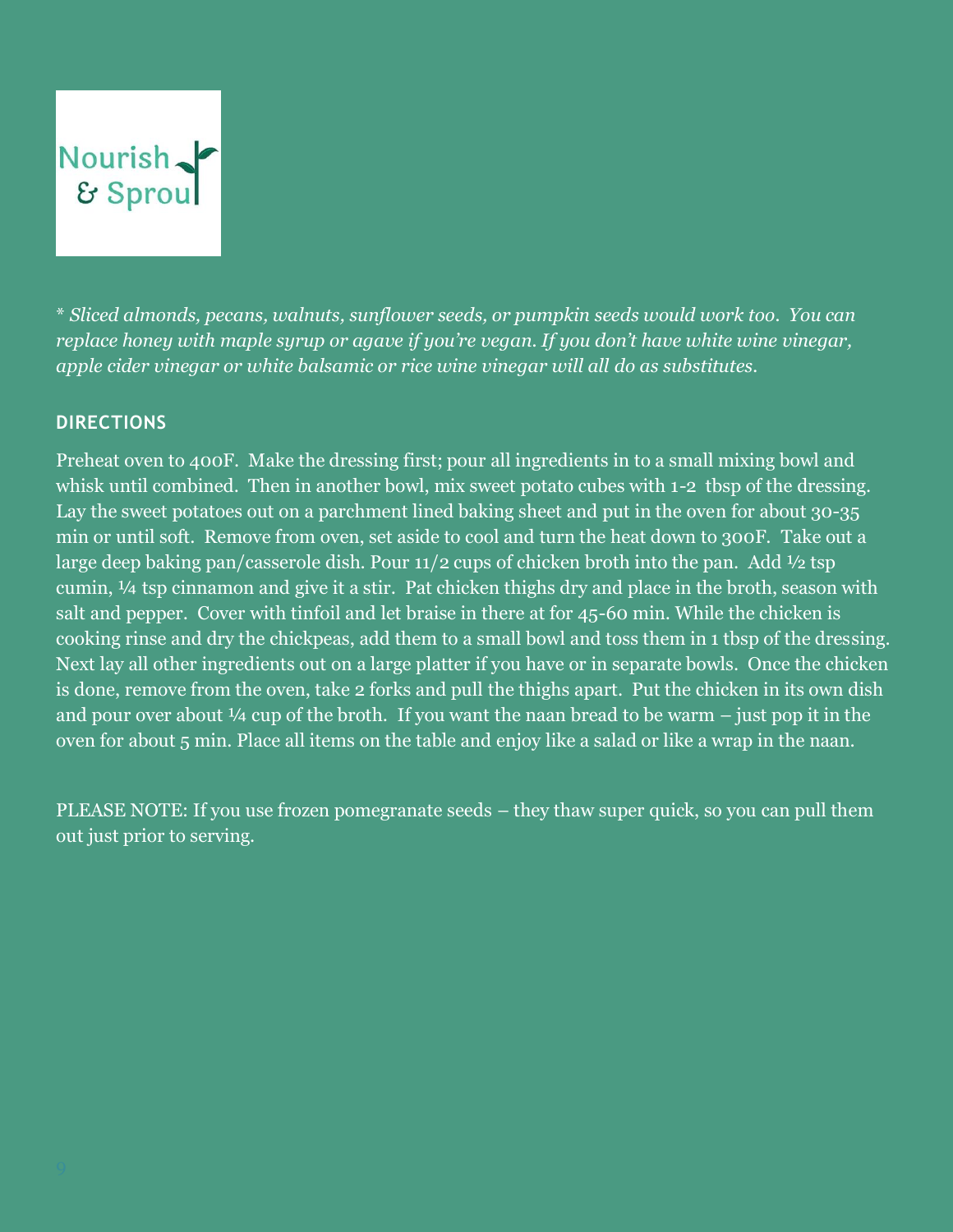\* *Sliced almonds, pecans, walnuts, sunflower seeds, or pumpkin seeds would work too. You can replace honey with maple syrup or agave if you're vegan. If you don't have white wine vinegar, apple cider vinegar or white balsamic or rice wine vinegar will all do as substitutes.*

#### **DIRECTIONS**

Preheat oven to 400F. Make the dressing first; pour all ingredients in to a small mixing bowl and whisk until combined. Then in another bowl, mix sweet potato cubes with 1-2 tbsp of the dressing. Lay the sweet potatoes out on a parchment lined baking sheet and put in the oven for about 30-35 min or until soft. Remove from oven, set aside to cool and turn the heat down to 300F. Take out a large deep baking pan/casserole dish. Pour  $11/2$  cups of chicken broth into the pan. Add  $\frac{1}{2}$  tsp cumin, ¼ tsp cinnamon and give it a stir. Pat chicken thighs dry and place in the broth, season with salt and pepper. Cover with tinfoil and let braise in there at for 45-60 min. While the chicken is cooking rinse and dry the chickpeas, add them to a small bowl and toss them in 1 tbsp of the dressing. Next lay all other ingredients out on a large platter if you have or in separate bowls. Once the chicken is done, remove from the oven, take 2 forks and pull the thighs apart. Put the chicken in its own dish and pour over about  $\frac{1}{4}$  cup of the broth. If you want the naan bread to be warm – just pop it in the oven for about 5 min. Place all items on the table and enjoy like a salad or like a wrap in the naan.

PLEASE NOTE: If you use frozen pomegranate seeds – they thaw super quick, so you can pull them out just prior to serving.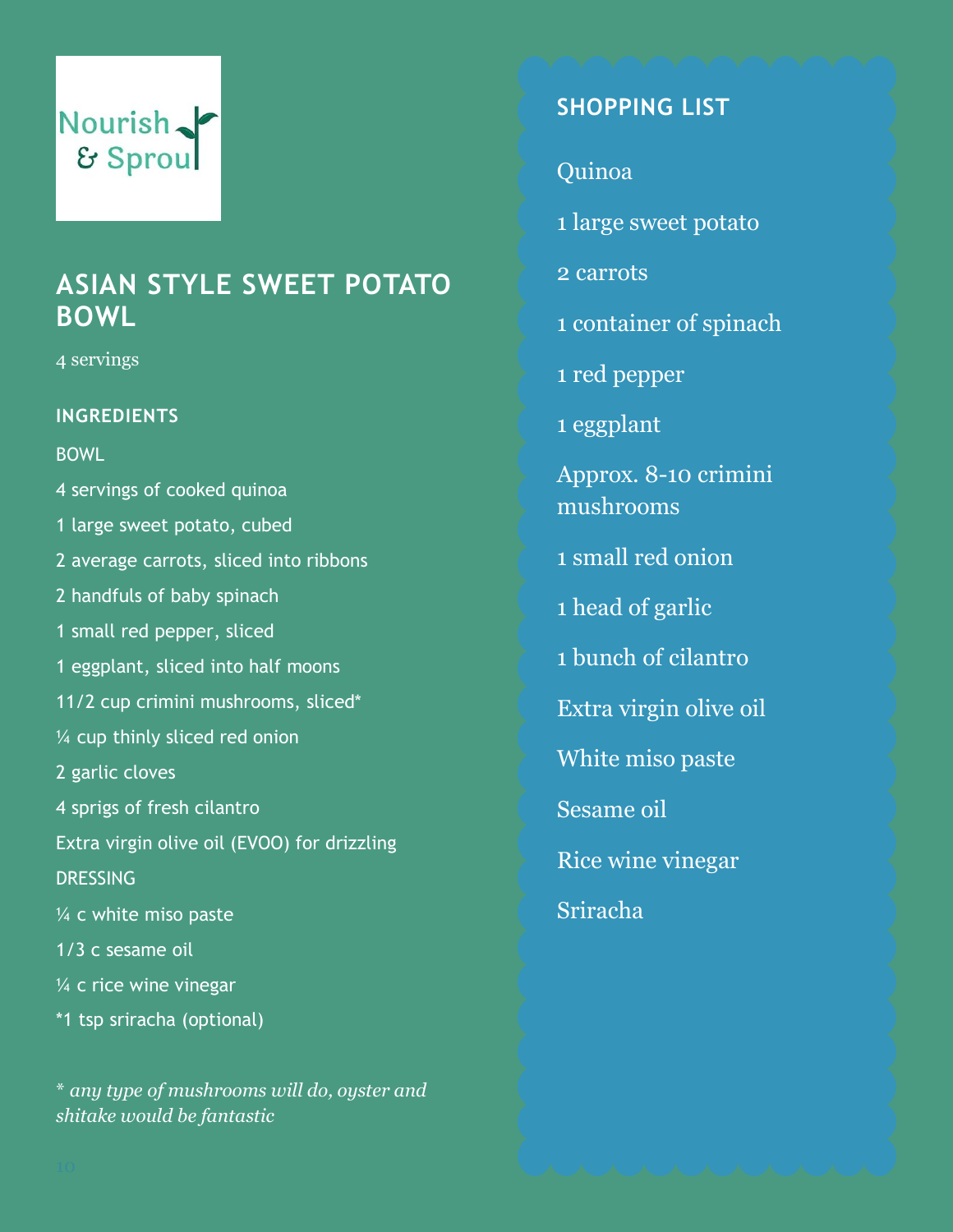## **ASIAN STYLE SWEET POTATO BOWL**

4 servings

#### **INGREDIENTS**

BOWL

4 servings of cooked quinoa 1 large sweet potato, cubed 2 average carrots, sliced into ribbons 2 handfuls of baby spinach 1 small red pepper, sliced 1 eggplant, sliced into half moons 11/2 cup crimini mushrooms, sliced\* ¼ cup thinly sliced red onion 2 garlic cloves 4 sprigs of fresh cilantro Extra virgin olive oil (EVOO) for drizzling **DRESSING** ¼ c white miso paste 1/3 c sesame oil ¼ c rice wine vinegar \*1 tsp sriracha (optional)

\* *any type of mushrooms will do, oyster and shitake would be fantastic*

### **SHOPPING LIST**

Quinoa

1 large sweet potato

2 carrots

1 container of spinach

1 red pepper

1 eggplant

Approx. 8-10 crimini mushrooms

1 small red onion

1 head of garlic

1 bunch of cilantro

Extra virgin olive oil

White miso paste

Sesame oil

Rice wine vinegar

Sriracha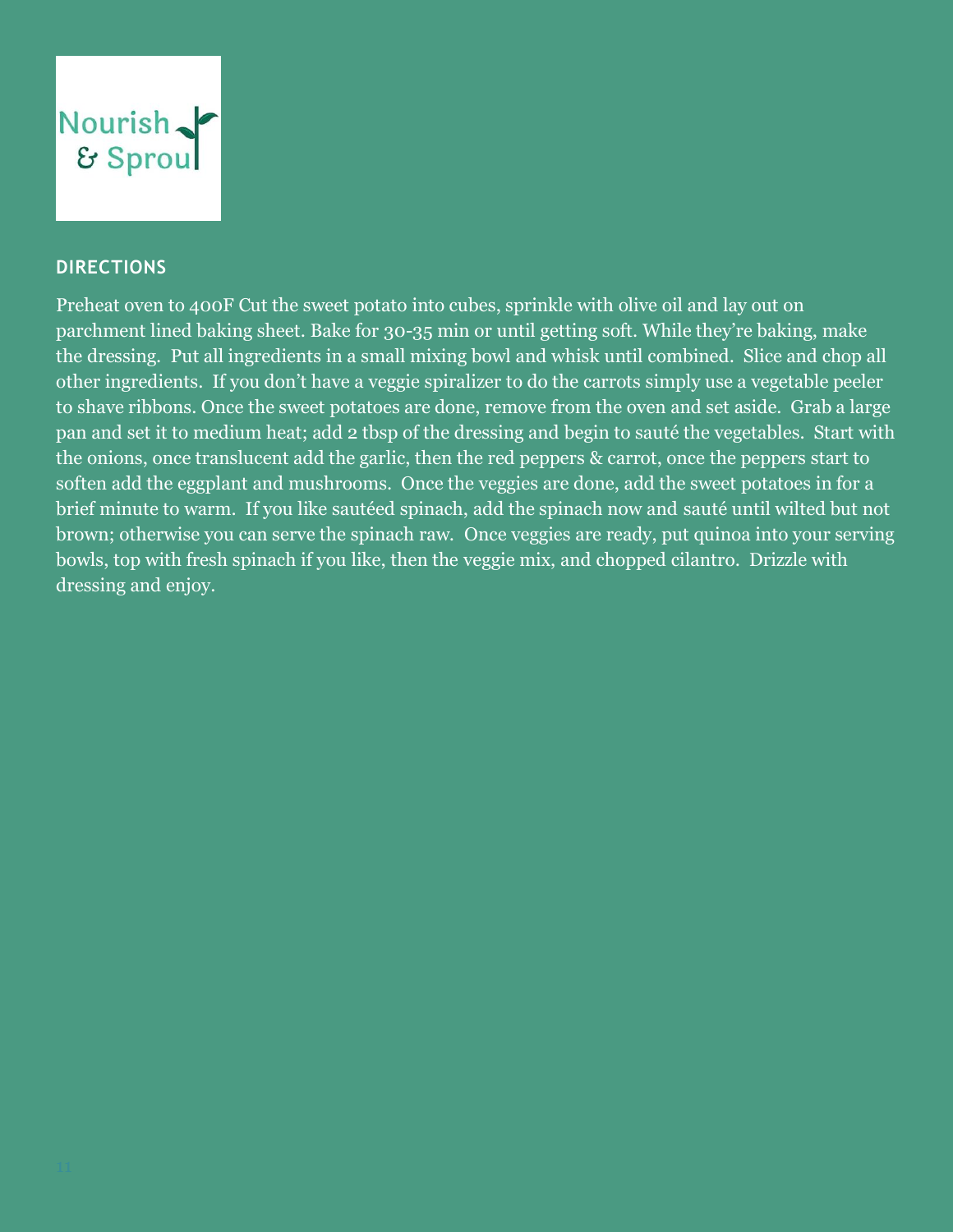

#### **DIRECTIONS**

Preheat oven to 400F Cut the sweet potato into cubes, sprinkle with olive oil and lay out on parchment lined baking sheet. Bake for 30-35 min or until getting soft. While they're baking, make the dressing. Put all ingredients in a small mixing bowl and whisk until combined. Slice and chop all other ingredients. If you don't have a veggie spiralizer to do the carrots simply use a vegetable peeler to shave ribbons. Once the sweet potatoes are done, remove from the oven and set aside. Grab a large pan and set it to medium heat; add 2 tbsp of the dressing and begin to sauté the vegetables. Start with the onions, once translucent add the garlic, then the red peppers & carrot, once the peppers start to soften add the eggplant and mushrooms. Once the veggies are done, add the sweet potatoes in for a brief minute to warm. If you like sautéed spinach, add the spinach now and sauté until wilted but not brown; otherwise you can serve the spinach raw. Once veggies are ready, put quinoa into your serving bowls, top with fresh spinach if you like, then the veggie mix, and chopped cilantro. Drizzle with dressing and enjoy.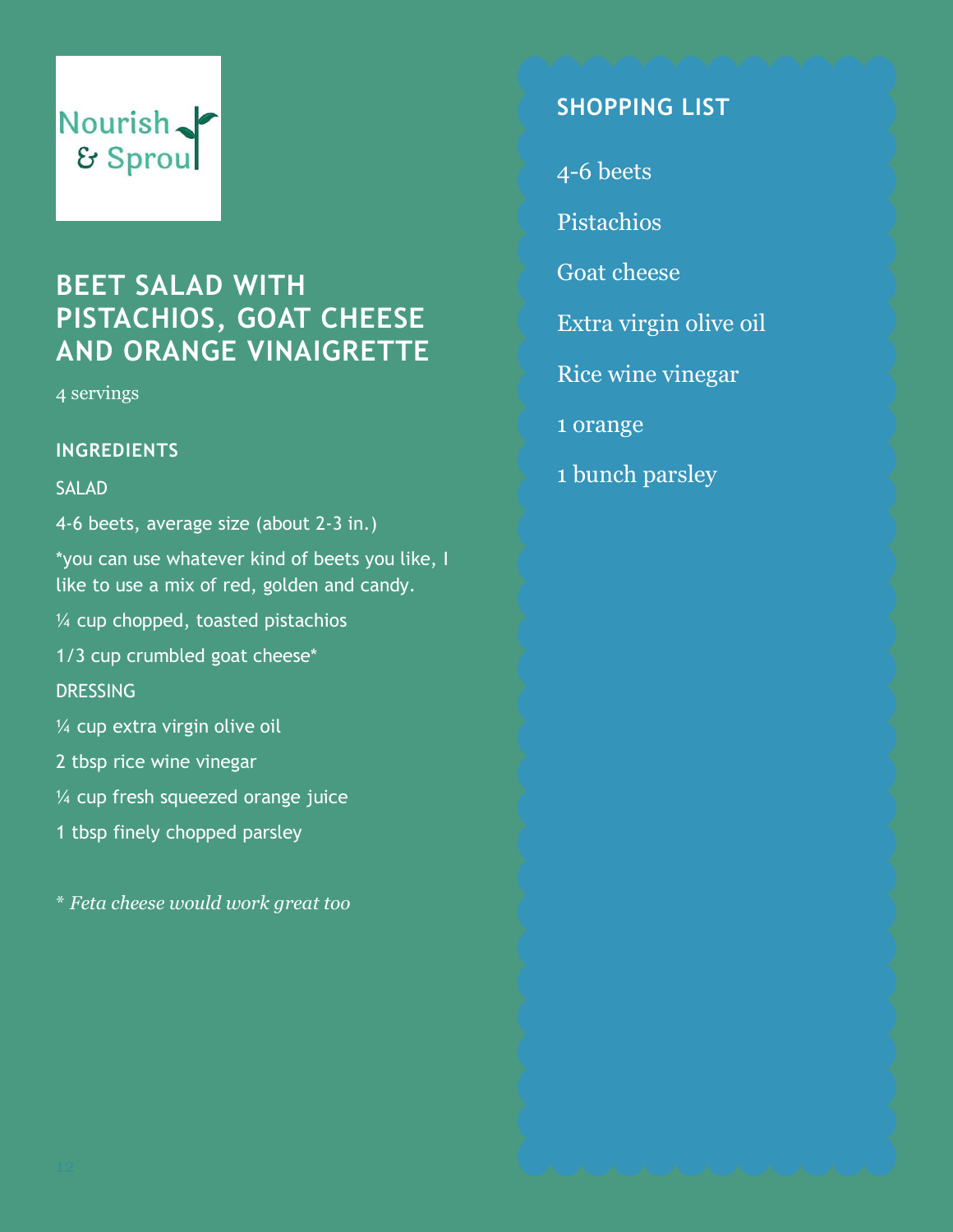## **BEET SALAD WITH PISTACHIOS, GOAT CHEESE AND ORANGE VINAIGRETTE**

4 servings

#### **INGREDIENTS**

#### SALAD

4-6 beets, average size (about 2-3 in.)

\*you can use whatever kind of beets you like, I like to use a mix of red, golden and candy.

¼ cup chopped, toasted pistachios

1/3 cup crumbled goat cheese\*

**DRESSING** 

¼ cup extra virgin olive oil

2 tbsp rice wine vinegar

¼ cup fresh squeezed orange juice

1 tbsp finely chopped parsley

\* *Feta cheese would work great too*

### **SHOPPING LIST**

4-6 beets

Pistachios

Goat cheese

Extra virgin olive oil

Rice wine vinegar

1 orange

1 bunch parsley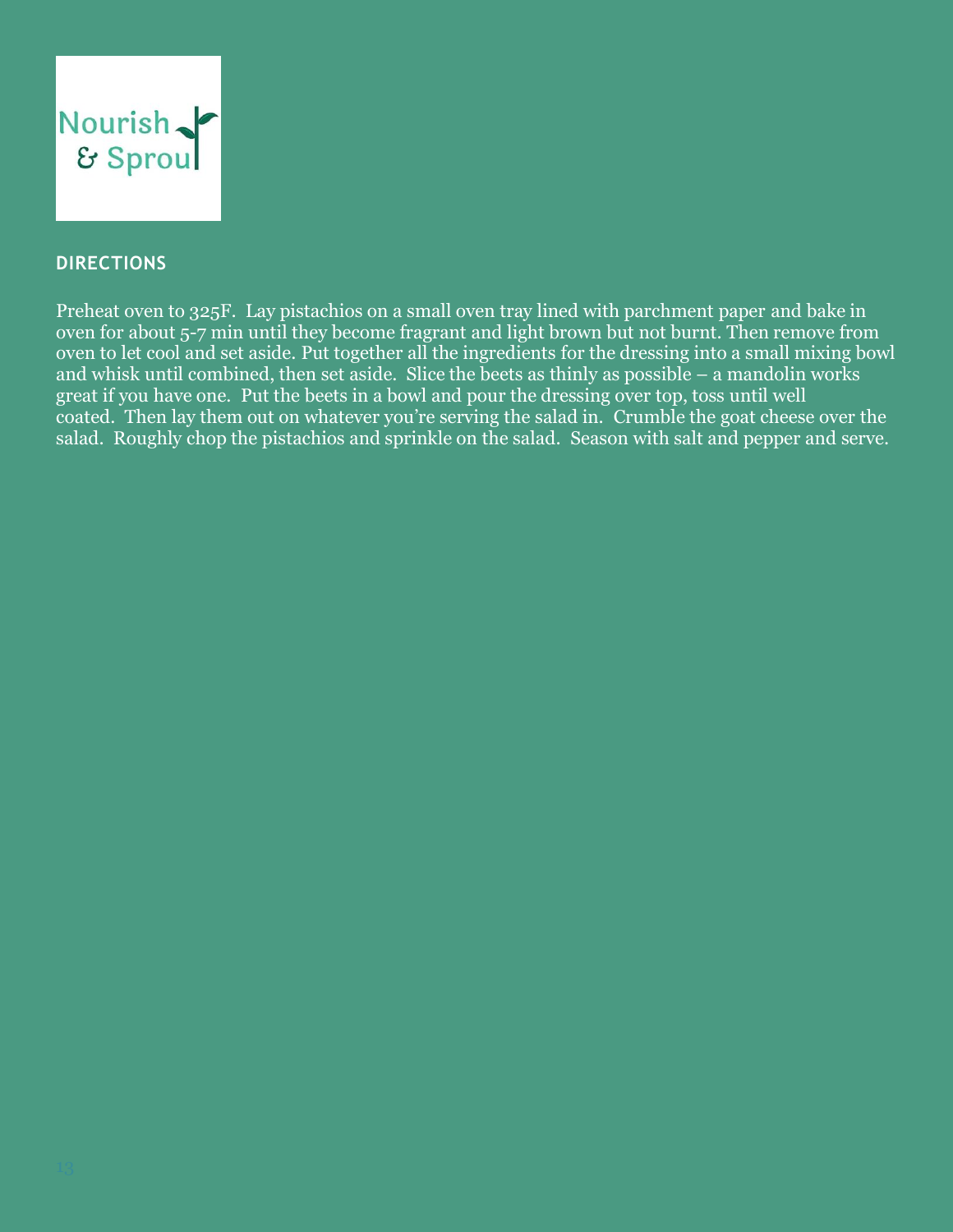

#### **DIRECTIONS**

Preheat oven to 325F. Lay pistachios on a small oven tray lined with parchment paper and bake in oven for about 5-7 min until they become fragrant and light brown but not burnt. Then remove from oven to let cool and set aside. Put together all the ingredients for the dressing into a small mixing bowl and whisk until combined, then set aside. Slice the beets as thinly as possible – a mandolin works great if you have one. Put the beets in a bowl and pour the dressing over top, toss until well coated. Then lay them out on whatever you're serving the salad in. Crumble the goat cheese over the salad. Roughly chop the pistachios and sprinkle on the salad. Season with salt and pepper and serve.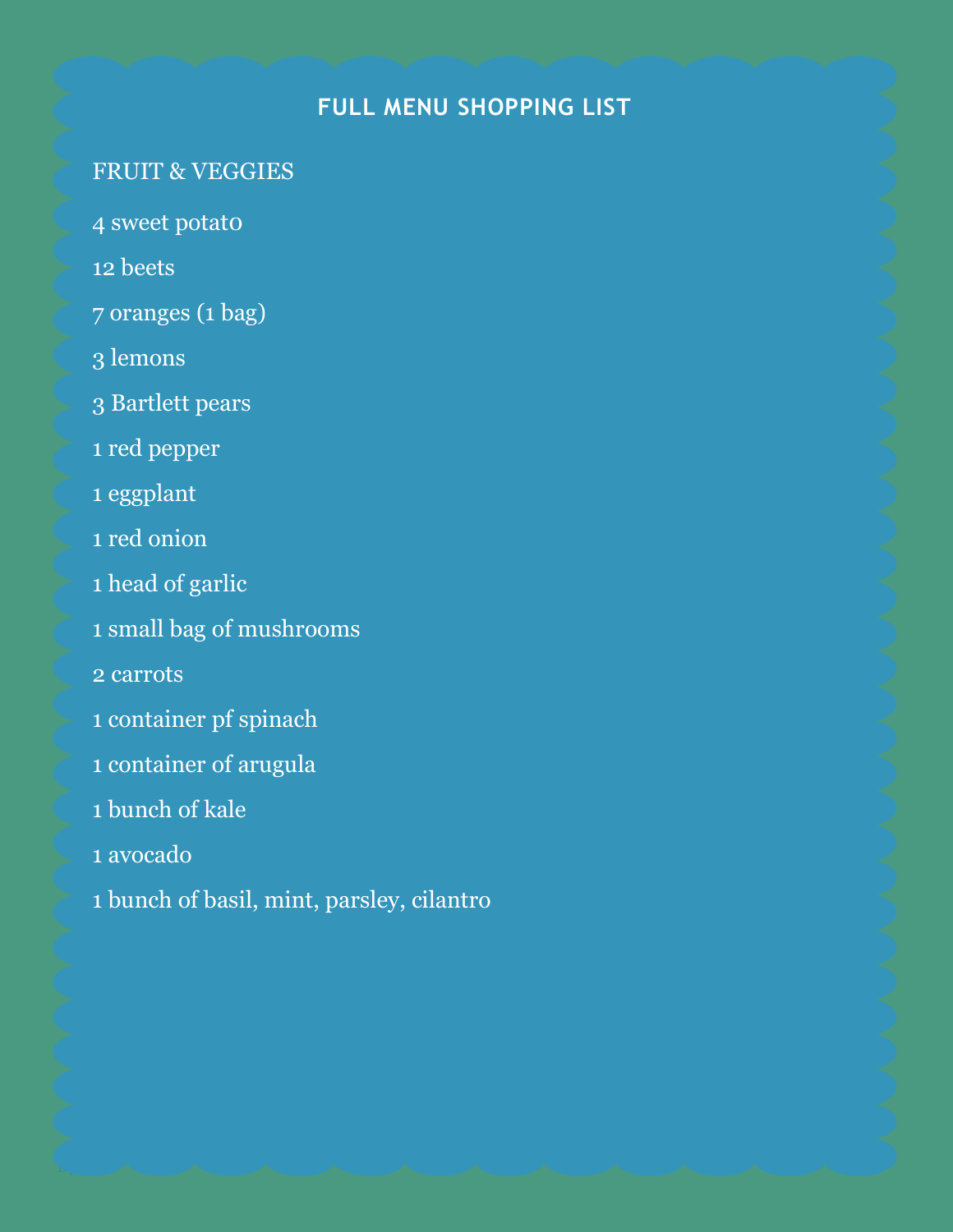## **FULL MENU SHOPPING LIST**

### FRUIT & VEGGIES

- 4 sweet potat0
- 12 beets
- 7 oranges (1 bag)
- 3 lemons
- 3 Bartlett pears
- 1 red pepper
- 1 eggplant
- 1 red onion
- 1 head of garlic
- 1 small bag of mushrooms
- 2 carrots
- 1 container pf spinach
- 1 container of arugula
- 1 bunch of kale
- 1 avocado
- 1 bunch of basil, mint, parsley, cilantro